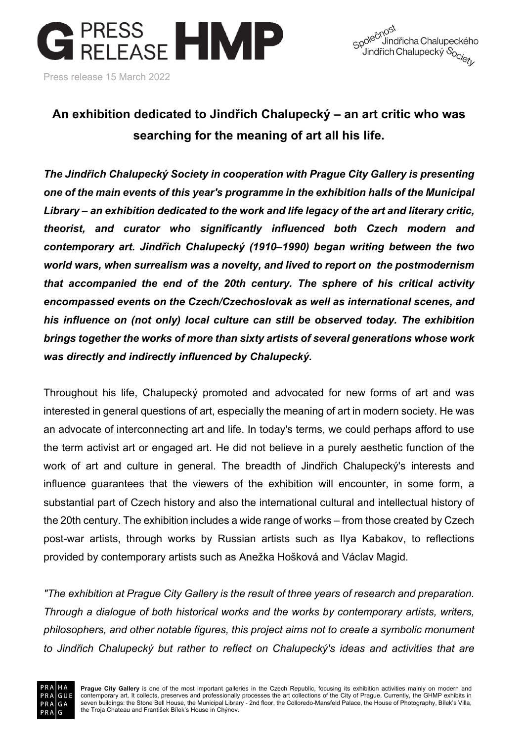



## **An exhibition dedicated to Jindřich Chalupecký – an art critic who was searching for the meaning of art all his life.**

*The Jindřich Chalupecký Society in cooperation with Prague City Gallery is presenting one of the main events of this year's programme in the exhibition halls of the Municipal Library – an exhibition dedicated to the work and life legacy of the art and literary critic, theorist, and curator who significantly influenced both Czech modern and contemporary art. Jindřich Chalupecký (1910–1990) began writing between the two world wars, when surrealism was a novelty, and lived to report on the postmodernism that accompanied the end of the 20th century. The sphere of his critical activity encompassed events on the Czech/Czechoslovak as well as international scenes, and his influence on (not only) local culture can still be observed today. The exhibition brings together the works of more than sixty artists of several generations whose work was directly and indirectly influenced by Chalupecký.*

Throughout his life, Chalupecký promoted and advocated for new forms of art and was interested in general questions of art, especially the meaning of art in modern society. He was an advocate of interconnecting art and life. In today's terms, we could perhaps afford to use the term activist art or engaged art. He did not believe in a purely aesthetic function of the work of art and culture in general. The breadth of Jindřich Chalupecký's interests and influence guarantees that the viewers of the exhibition will encounter, in some form, a substantial part of Czech history and also the international cultural and intellectual history of the 20th century. The exhibition includes a wide range of works – from those created by Czech post-war artists, through works by Russian artists such as Ilya Kabakov, to reflections provided by contemporary artists such as Anežka Hošková and Václav Magid.

*"The exhibition at Prague City Gallery is the result of three years of research and preparation. Through a dialogue of both historical works and the works by contemporary artists, writers, philosophers, and other notable figures, this project aims not to create a symbolic monument to Jindřich Chalupecký but rather to reflect on Chalupecký's ideas and activities that are* 

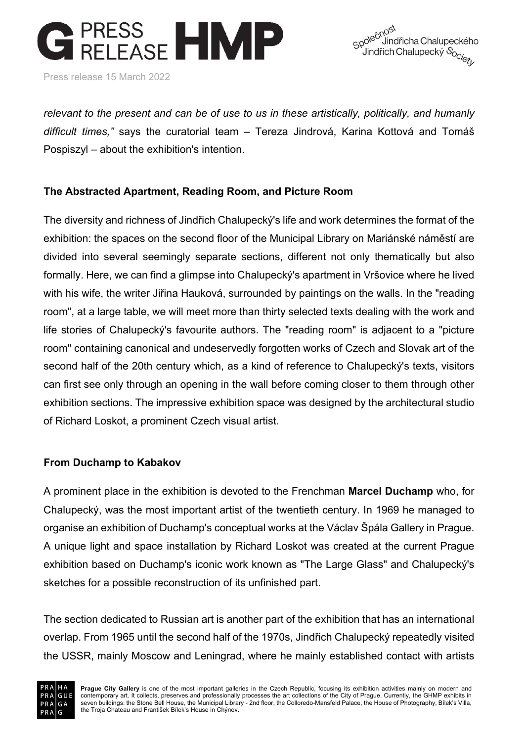Press release 15 March 2022



*relevant to the present and can be of use to us in these artistically, politically, and humanly difficult times,"* says the curatorial team – Tereza Jindrová, Karina Kottová and Tomáš Pospiszyl – about the exhibition's intention.

#### **The Abstracted Apartment, Reading Room, and Picture Room**

The diversity and richness of Jindřich Chalupecký's life and work determines the format of the exhibition: the spaces on the second floor of the Municipal Library on Mariánské náměstí are divided into several seemingly separate sections, different not only thematically but also formally. Here, we can find a glimpse into Chalupecký's apartment in Vršovice where he lived with his wife, the writer Jiřina Hauková, surrounded by paintings on the walls. In the "reading room", at a large table, we will meet more than thirty selected texts dealing with the work and life stories of Chalupecký's favourite authors. The "reading room" is adjacent to a "picture room" containing canonical and undeservedly forgotten works of Czech and Slovak art of the second half of the 20th century which, as a kind of reference to Chalupecký's texts, visitors can first see only through an opening in the wall before coming closer to them through other exhibition sections. The impressive exhibition space was designed by the architectural studio of Richard Loskot, a prominent Czech visual artist.

#### **From Duchamp to Kabakov**

A prominent place in the exhibition is devoted to the Frenchman **Marcel Duchamp** who, for Chalupecký, was the most important artist of the twentieth century. In 1969 he managed to organise an exhibition of Duchamp's conceptual works at the Václav Špála Gallery in Prague. A unique light and space installation by Richard Loskot was created at the current Prague exhibition based on Duchamp's iconic work known as "The Large Glass" and Chalupecký's sketches for a possible reconstruction of its unfinished part.

The section dedicated to Russian art is another part of the exhibition that has an international overlap. From 1965 until the second half of the 1970s, Jindřich Chalupecký repeatedly visited the USSR, mainly Moscow and Leningrad, where he mainly established contact with artists

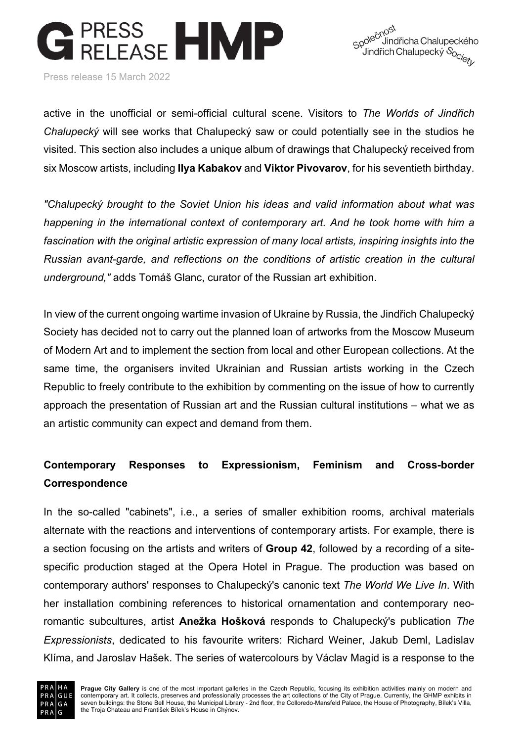

Press release 15 March 2022

active in the unofficial or semi-official cultural scene. Visitors to *The Worlds of Jindřich Chalupecký* will see works that Chalupecký saw or could potentially see in the studios he visited. This section also includes a unique album of drawings that Chalupecký received from six Moscow artists, including **Ilya Kabakov** and **Viktor Pivovarov**, for his seventieth birthday.

*"Chalupecký brought to the Soviet Union his ideas and valid information about what was happening in the international context of contemporary art. And he took home with him a fascination with the original artistic expression of many local artists, inspiring insights into the Russian avant-garde, and reflections on the conditions of artistic creation in the cultural underground,"* adds Tomáš Glanc, curator of the Russian art exhibition.

In view of the current ongoing wartime invasion of Ukraine by Russia, the Jindřich Chalupecký Society has decided not to carry out the planned loan of artworks from the Moscow Museum of Modern Art and to implement the section from local and other European collections. At the same time, the organisers invited Ukrainian and Russian artists working in the Czech Republic to freely contribute to the exhibition by commenting on the issue of how to currently approach the presentation of Russian art and the Russian cultural institutions – what we as an artistic community can expect and demand from them.

## **Contemporary Responses to Expressionism, Feminism and Cross-border Correspondence**

In the so-called "cabinets", i.e., a series of smaller exhibition rooms, archival materials alternate with the reactions and interventions of contemporary artists. For example, there is a section focusing on the artists and writers of **Group 42**, followed by a recording of a sitespecific production staged at the Opera Hotel in Prague. The production was based on contemporary authors' responses to Chalupecký's canonic text *The World We Live In*. With her installation combining references to historical ornamentation and contemporary neoromantic subcultures, artist **Anežka Hošková** responds to Chalupecký's publication *The Expressionists*, dedicated to his favourite writers: Richard Weiner, Jakub Deml, Ladislav Klíma, and Jaroslav Hašek. The series of watercolours by Václav Magid is a response to the

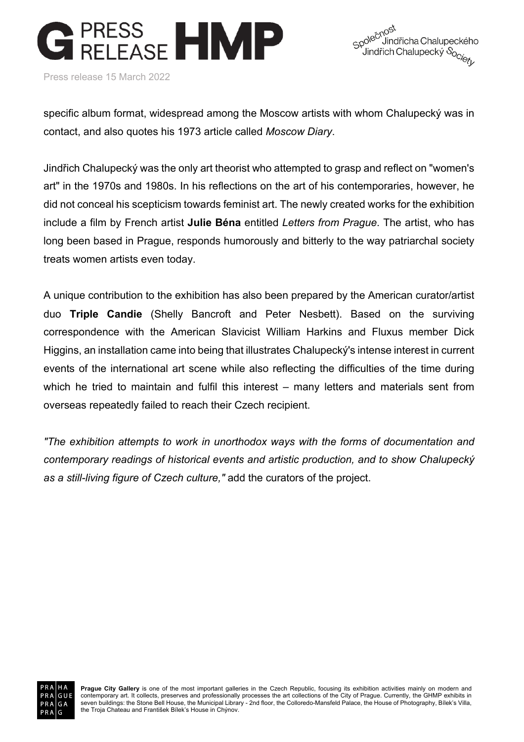Press release 15 March 2022

Spole<sup>chost</sup><br>Spole<sup>chost</sup> Uindřicha Chalupeckého <sub>P</sub>o<sup>vec</sup> Jindřicha Chalupeckého<br>Úindřich Chalupecký S<sub>OC/SZ</sub>

specific album format, widespread among the Moscow artists with whom Chalupecký was in contact, and also quotes his 1973 article called *Moscow Diary*.

Jindřich Chalupecký was the only art theorist who attempted to grasp and reflect on "women's art" in the 1970s and 1980s. In his reflections on the art of his contemporaries, however, he did not conceal his scepticism towards feminist art. The newly created works for the exhibition include a film by French artist **Julie Béna** entitled *Letters from Prague*. The artist, who has long been based in Prague, responds humorously and bitterly to the way patriarchal society treats women artists even today.

A unique contribution to the exhibition has also been prepared by the American curator/artist duo **Triple Candie** (Shelly Bancroft and Peter Nesbett). Based on the surviving correspondence with the American Slavicist William Harkins and Fluxus member Dick Higgins, an installation came into being that illustrates Chalupecký's intense interest in current events of the international art scene while also reflecting the difficulties of the time during which he tried to maintain and fulfil this interest – many letters and materials sent from overseas repeatedly failed to reach their Czech recipient.

*"The exhibition attempts to work in unorthodox ways with the forms of documentation and contemporary readings of historical events and artistic production, and to show Chalupecký as a still-living figure of Czech culture,"* add the curators of the project.



Prague City Gallery is one of the most important galleries in the Czech Republic, focusing its exhibition activities mainly on modern and<br>contemporary art. It collects, preserves and professionally processes the art collec seven buildings: the Stone Bell House, the Municipal Library - 2nd floor, the Colloredo-Mansfeld Palace, the House of Photography, Bílek's Villa, the Troja Chateau and František Bílek's House in Chýnov.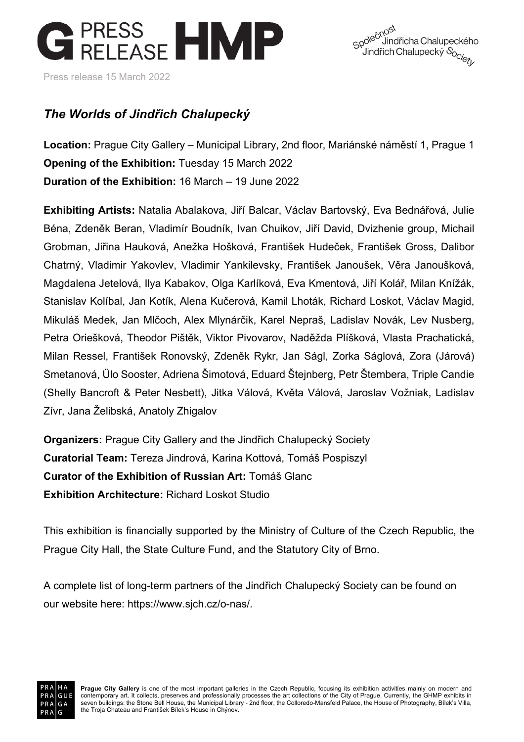



### *The Worlds of Jindřich Chalupecký*

**Location:** Prague City Gallery – Municipal Library, 2nd floor, Mariánské náměstí 1, Prague 1 **Opening of the Exhibition:** Tuesday 15 March 2022 **Duration of the Exhibition:** 16 March – 19 June 2022

**Exhibiting Artists:** Natalia Abalakova, Jiří Balcar, Václav Bartovský, Eva Bednářová, Julie Béna, Zdeněk Beran, Vladimír Boudník, Ivan Chuikov, Jiří David, Dvizhenie group, Michail Grobman, Jiřina Hauková, Anežka Hošková, František Hudeček, František Gross, Dalibor Chatrný, Vladimir Yakovlev, Vladimir Yankilevsky, František Janoušek, Věra Janoušková, Magdalena Jetelová, Ilya Kabakov, Olga Karlíková, Eva Kmentová, Jiří Kolář, Milan Knížák, Stanislav Kolíbal, Jan Kotík, Alena Kučerová, Kamil Lhoták, Richard Loskot, Václav Magid, Mikuláš Medek, Jan Mlčoch, Alex Mlynárčik, Karel Nepraš, Ladislav Novák, Lev Nusberg, Petra Oriešková, Theodor Pištěk, Viktor Pivovarov, Naděžda Plíšková, Vlasta Prachatická, Milan Ressel, František Ronovský, Zdeněk Rykr, Jan Ságl, Zorka Ságlová, Zora (Járová) Smetanová, Ülo Sooster, Adriena Šimotová, Eduard Štejnberg, Petr Štembera, Triple Candie (Shelly Bancroft & Peter Nesbett), Jitka Válová, Květa Válová, Jaroslav Vožniak, Ladislav Zívr, Jana Želibská, Anatoly Zhigalov

**Organizers:** Prague City Gallery and the Jindřich Chalupecký Society **Curatorial Team:** Tereza Jindrová, Karina Kottová, Tomáš Pospiszyl **Curator of the Exhibition of Russian Art:** Tomáš Glanc **Exhibition Architecture:** Richard Loskot Studio

This exhibition is financially supported by the Ministry of Culture of the Czech Republic, the Prague City Hall, the State Culture Fund, and the Statutory City of Brno.

A complete list of long-term partners of the Jindřich Chalupecký Society can be found on our website here: https://www.sjch.cz/o-nas/.

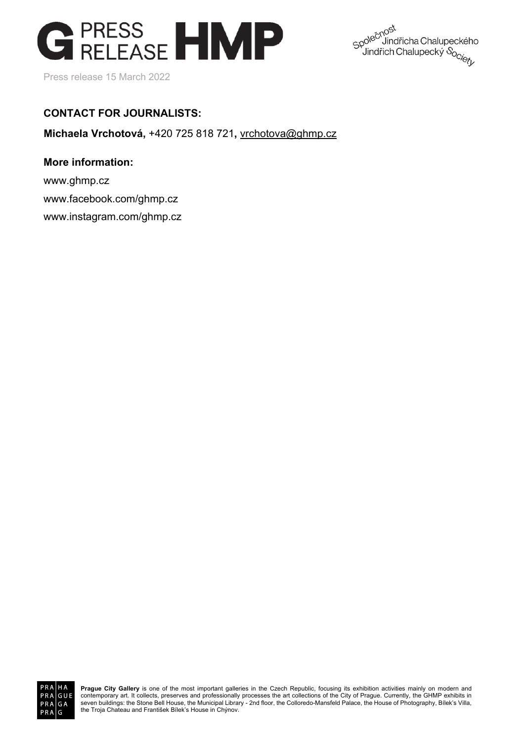

Spole<sup>chost</sup><br>Spole<sup>chost</sup><br>Jindřich ( <sup>N</sup>Jindřicha Chalupeckého po<sup>lev v</sup>jindřicha Chalupeckého<br>Vindřich Chalupecký S<sub>Oc/ezy</sub>

#### **CONTACT FOR JOURNALISTS:**

**Michaela Vrchotová,** +420 725 818 721**,** vrchotova@ghmp.cz

#### **More information:**

www.ghmp.cz www.facebook.com/ghmp.cz www.instagram.com/ghmp.cz



Prague City Gallery is one of the most important galleries in the Czech Republic, focusing its exhibition activities mainly on modern and<br>contemporary art. It collects, preserves and professionally processes the art collec seven buildings: the Stone Bell House, the Municipal Library - 2nd floor, the Colloredo-Mansfeld Palace, the House of Photography, Bílek's Villa, the Troja Chateau and František Bílek's House in Chýnov.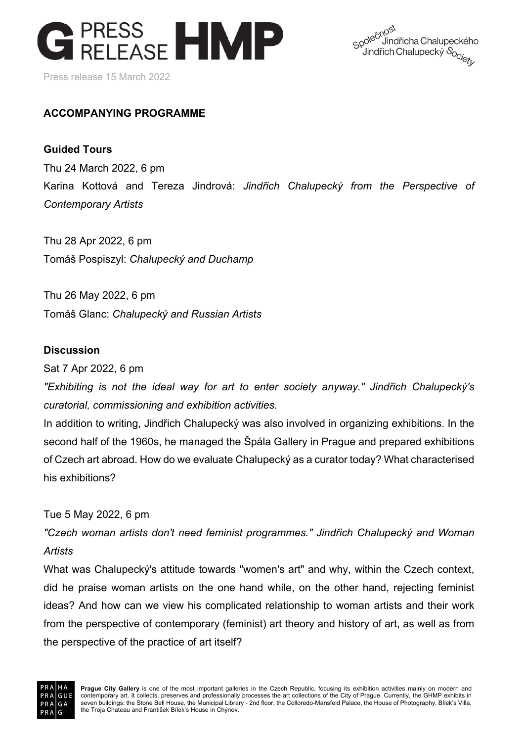

Spole<sup>chost</sup><br>Spole<sup>chost</sup> Uindřicha Chalupeckého <sub>p</sub>o<sup>vo -</sup> Jindřicha Chalupeckého<br><sup>J</sup>indřich Chalupecký S<sub>OC/e</sup>/<sub>r</sub></sub>

#### **ACCOMPANYING PROGRAMME**

#### **Guided Tours**

Thu 24 March 2022, 6 pm Karina Kottová and Tereza Jindrová: *Jindřich Chalupecký from the Perspective of Contemporary Artists*

Thu 28 Apr 2022, 6 pm Tomáš Pospiszyl: *Chalupecký and Duchamp*

Thu 26 May 2022, 6 pm Tomáš Glanc: *Chalupecký and Russian Artists*

#### **Discussion**

Sat 7 Apr 2022, 6 pm

*"Exhibiting is not the ideal way for art to enter society anyway." Jindřich Chalupecký's curatorial, commissioning and exhibition activities.*

In addition to writing, Jindřich Chalupecký was also involved in organizing exhibitions. In the second half of the 1960s, he managed the Špála Gallery in Prague and prepared exhibitions of Czech art abroad. How do we evaluate Chalupecký as a curator today? What characterised his exhibitions?

#### Tue 5 May 2022, 6 pm

*"Czech woman artists don't need feminist programmes." Jindřich Chalupecký and Woman Artists*

What was Chalupecký's attitude towards "women's art" and why, within the Czech context, did he praise woman artists on the one hand while, on the other hand, rejecting feminist ideas? And how can we view his complicated relationship to woman artists and their work from the perspective of contemporary (feminist) art theory and history of art, as well as from the perspective of the practice of art itself?

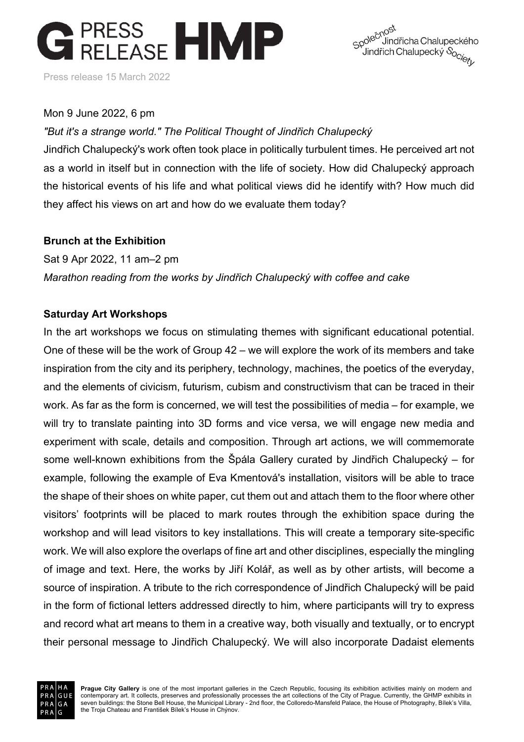

Spole<sup>chost</sup><br>Spole<sup>chost</sup><br>Jindřich ( Uindřicha Chalupeckého <sub>Q</sub>o<sup>vo -</sup> Jindřicha Chalupeckého<br><sup>'</sup> Jindřich Chalupecký S<sub>OC/e</sup>/<sub>r</sub></sub>

#### Mon 9 June 2022, 6 pm

*"But it's a strange world." The Political Thought of Jindřich Chalupecký*

Jindřich Chalupecký's work often took place in politically turbulent times. He perceived art not as a world in itself but in connection with the life of society. How did Chalupecký approach the historical events of his life and what political views did he identify with? How much did they affect his views on art and how do we evaluate them today?

#### **Brunch at the Exhibition**

Sat 9 Apr 2022, 11 am–2 pm *Marathon reading from the works by Jindřich Chalupecký with coffee and cake*

#### **Saturday Art Workshops**

In the art workshops we focus on stimulating themes with significant educational potential. One of these will be the work of Group 42 – we will explore the work of its members and take inspiration from the city and its periphery, technology, machines, the poetics of the everyday, and the elements of civicism, futurism, cubism and constructivism that can be traced in their work. As far as the form is concerned, we will test the possibilities of media – for example, we will try to translate painting into 3D forms and vice versa, we will engage new media and experiment with scale, details and composition. Through art actions, we will commemorate some well-known exhibitions from the Špála Gallery curated by Jindřich Chalupecký – for example, following the example of Eva Kmentová's installation, visitors will be able to trace the shape of their shoes on white paper, cut them out and attach them to the floor where other visitors' footprints will be placed to mark routes through the exhibition space during the workshop and will lead visitors to key installations. This will create a temporary site-specific work. We will also explore the overlaps of fine art and other disciplines, especially the mingling of image and text. Here, the works by Jiří Kolář, as well as by other artists, will become a source of inspiration. A tribute to the rich correspondence of Jindřich Chalupecký will be paid in the form of fictional letters addressed directly to him, where participants will try to express and record what art means to them in a creative way, both visually and textually, or to encrypt their personal message to Jindřich Chalupecký. We will also incorporate Dadaist elements

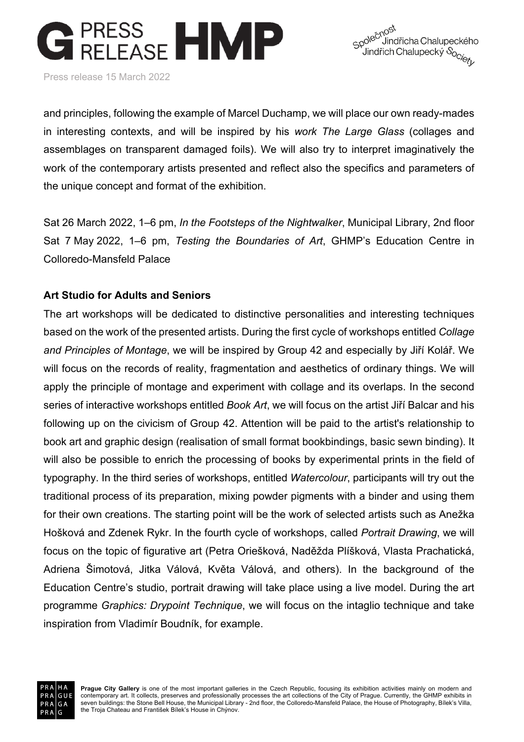

Spole<sup>chost</sup><br>Spole<sup>chost</sup><br>Jindřich ( Uindřicha Chalupeckého <sub>P</sub>o<sup>vec</sup> Jindřicha Chalupeckého<br>Úindřich Chalupecký S<sub>OC/ezy</sub>

Press release 15 March 2022

and principles, following the example of Marcel Duchamp, we will place our own ready-mades in interesting contexts, and will be inspired by his *work The Large Glass* (collages and assemblages on transparent damaged foils). We will also try to interpret imaginatively the work of the contemporary artists presented and reflect also the specifics and parameters of the unique concept and format of the exhibition.

Sat 26 March 2022, 1–6 pm, *In the Footsteps of the Nightwalker*, Municipal Library, 2nd floor Sat 7 May 2022, 1–6 pm, *Testing the Boundaries of Art*, GHMP's Education Centre in Colloredo-Mansfeld Palace

#### **Art Studio for Adults and Seniors**

The art workshops will be dedicated to distinctive personalities and interesting techniques based on the work of the presented artists. During the first cycle of workshops entitled *Collage and Principles of Montage*, we will be inspired by Group 42 and especially by Jiří Kolář. We will focus on the records of reality, fragmentation and aesthetics of ordinary things. We will apply the principle of montage and experiment with collage and its overlaps. In the second series of interactive workshops entitled *Book Art*, we will focus on the artist Jiří Balcar and his following up on the civicism of Group 42. Attention will be paid to the artist's relationship to book art and graphic design (realisation of small format bookbindings, basic sewn binding). It will also be possible to enrich the processing of books by experimental prints in the field of typography. In the third series of workshops, entitled *Watercolour*, participants will try out the traditional process of its preparation, mixing powder pigments with a binder and using them for their own creations. The starting point will be the work of selected artists such as Anežka Hošková and Zdenek Rykr. In the fourth cycle of workshops, called *Portrait Drawing*, we will focus on the topic of figurative art (Petra Oriešková, Naděžda Plíšková, Vlasta Prachatická, Adriena Šimotová, Jitka Válová, Květa Válová, and others). In the background of the Education Centre's studio, portrait drawing will take place using a live model. During the art programme *Graphics: Drypoint Technique*, we will focus on the intaglio technique and take inspiration from Vladimír Boudník, for example.

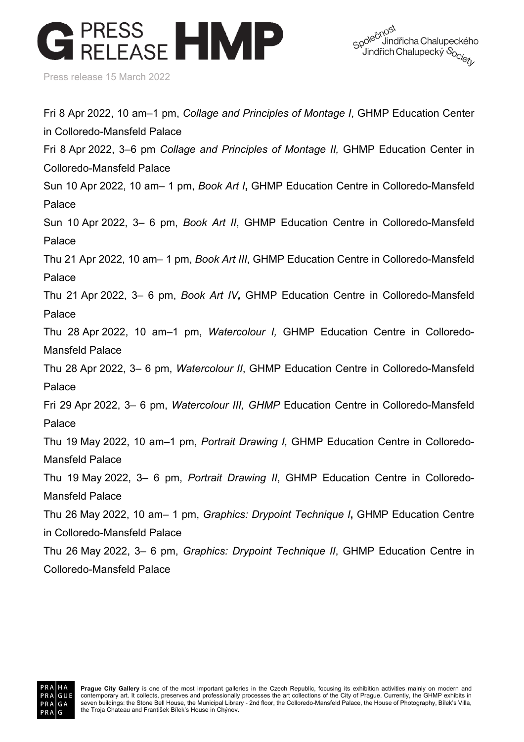Spole<sup>čnost</sup><br>Spole<sup>čnost</sup> Uindřicha Chalupeckého <sub>P</sub>o<sup>vec</sup> Jindřicha Chalupeckého<br>Úindřich Chalupecký S<sub>OC/SZ</sub>

Press release 15 March 2022

Fri 8 Apr 2022, 10 am–1 pm, *Collage and Principles of Montage I*, GHMP Education Center in Colloredo-Mansfeld Palace Fri 8 Apr 2022, 3–6 pm *Collage and Principles of Montage II,* GHMP Education Center in Colloredo-Mansfeld Palace Sun 10 Apr 2022, 10 am– 1 pm, *Book Art I***,** GHMP Education Centre in Colloredo-Mansfeld Palace Sun 10 Apr 2022, 3– 6 pm, *Book Art II*, GHMP Education Centre in Colloredo-Mansfeld Palace Thu 21 Apr 2022, 10 am– 1 pm, *Book Art III*, GHMP Education Centre in Colloredo-Mansfeld Palace Thu 21 Apr 2022, 3– 6 pm, *Book Art IV,* GHMP Education Centre in Colloredo-Mansfeld Palace Thu 28 Apr 2022, 10 am–1 pm, *Watercolour I,* GHMP Education Centre in Colloredo-Mansfeld Palace Thu 28 Apr 2022, 3– 6 pm, *Watercolour II*, GHMP Education Centre in Colloredo-Mansfeld Palace Fri 29 Apr 2022, 3– 6 pm, *Watercolour III, GHMP* Education Centre in Colloredo-Mansfeld Palace Thu 19 May 2022, 10 am–1 pm, *Portrait Drawing I,* GHMP Education Centre in Colloredo-Mansfeld Palace Thu 19 May 2022, 3– 6 pm, *Portrait Drawing II*, GHMP Education Centre in Colloredo-Mansfeld Palace Thu 26 May 2022, 10 am– 1 pm, *Graphics: Drypoint Technique I***,** GHMP Education Centre in Colloredo-Mansfeld Palace Thu 26 May 2022, 3– 6 pm, *Graphics: Drypoint Technique II*, GHMP Education Centre in Colloredo-Mansfeld Palace